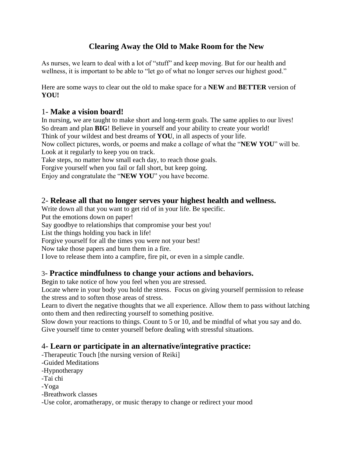# **Clearing Away the Old to Make Room for the New**

As nurses, we learn to deal with a lot of "stuff" and keep moving. But for our health and wellness, it is important to be able to "let go of what no longer serves our highest good."

Here are some ways to clear out the old to make space for a **NEW** and **BETTER** version of **YOU!**

#### 1- **Make a vision board!**

In nursing, we are taught to make short and long-term goals. The same applies to our lives! So dream and plan **BIG**! Believe in yourself and your ability to create your world! Think of your wildest and best dreams of **YOU**, in all aspects of your life. Now collect pictures, words, or poems and make a collage of what the "**NEW YOU**" will be. Look at it regularly to keep you on track.

Take steps, no matter how small each day, to reach those goals.

Forgive yourself when you fail or fall short, but keep going.

Enjoy and congratulate the "**NEW YOU**" you have become.

#### 2- **Release all that no longer serves your highest health and wellness.**

Write down all that you want to get rid of in your life. Be specific.

Put the emotions down on paper!

Say goodbye to relationships that compromise your best you!

List the things holding you back in life!

Forgive yourself for all the times you were not your best!

Now take those papers and burn them in a fire.

I love to release them into a campfire, fire pit, or even in a simple candle.

### 3- **Practice mindfulness to change your actions and behaviors.**

Begin to take notice of how you feel when you are stressed.

Locate where in your body you hold the stress. Focus on giving yourself permission to release the stress and to soften those areas of stress.

Learn to divert the negative thoughts that we all experience. Allow them to pass without latching onto them and then redirecting yourself to something positive.

Slow down your reactions to things. Count to 5 or 10, and be mindful of what you say and do. Give yourself time to center yourself before dealing with stressful situations.

## 4- **Learn or participate in an alternative/integrative practice:**

-Therapeutic Touch [the nursing version of Reiki]

-Guided Meditations

-Hypnotherapy

-Tai chi

-Yoga

-Breathwork classes

-Use color, aromatherapy, or music therapy to change or redirect your mood